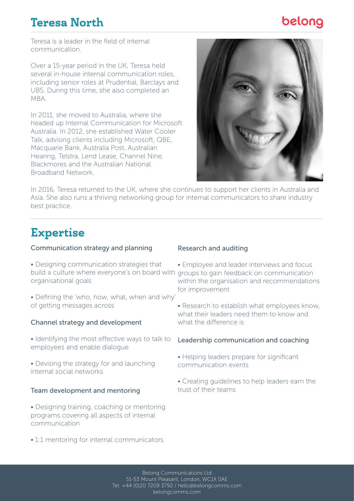# Teresa North

# belong

Teresa is a leader in the field of internal communication.

Over a 15-year period in the UK, Teresa held several in-house internal communication roles, including senior roles at Prudential, Barclays and UBS. During this time, she also completed an MBA.

In 2011, she moved to Australia, where she headed up Internal Communication for Microsoft Australia. In 2012, she established Water Cooler Talk, advising clients including Microsoft, QBE, Macquarie Bank, Australia Post, Australian Hearing, Telstra, Lend Lease, Channel Nine, Blackmores and the Australian National Broadband Network.



In 2016, Teresa returned to the UK, where she continues to support her clients in Australia and Asia. She also runs a thriving networking group for internal communicators to share industry best practice.

# Expertise

### Communication strategy and planning

- Designing communication strategies that build a culture where everyone's on board with groups to gain feedback on communication organisational goals
- Defining the 'who, how, what, when and why' of getting messages across

### Channel strategy and development

- Identifying the most effective ways to talk to employees and enable dialogue
- Devising the strategy for and launching internal social networks

### Team development and mentoring

• Designing training, coaching or mentoring programs covering all aspects of internal communication

#### Research and auditing

- Employee and leader interviews and focus within the organisation and recommendations for improvement
- Research to establish what employees know, what their leaders need them to know and what the diference is

### Leadership communication and coaching

- Helping leaders prepare for significant communication events
- Creating guidelines to help leaders earn the trust of their teams
- 1:1 mentoring for internal communicators

Belong Communications Ltd 51-53 Mount Pleasant, London, WC1X 0AE Tel: +44 (0)20 7209 3792 / hello@belongcomms.com belongcomms.com